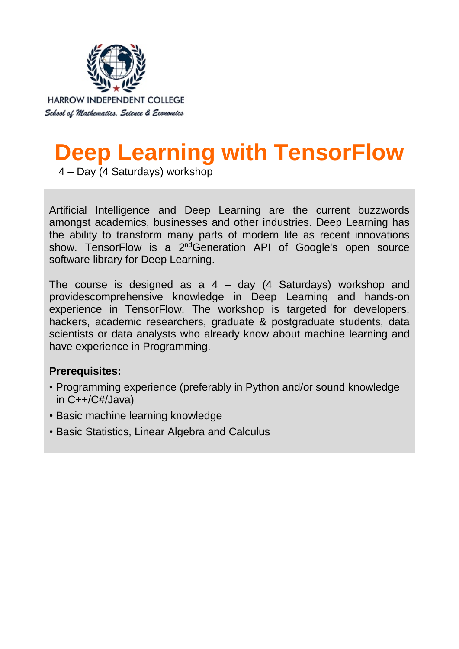

# **Deep Learning with TensorFlow**

4 – Day (4 Saturdays) workshop

Artificial Intelligence and Deep Learning are the current buzzwords amongst academics, businesses and other industries. Deep Learning has the ability to transform many parts of modern life as recent innovations show. TensorFlow is a 2<sup>nd</sup>Generation API of Google's open source software library for Deep Learning.

The course is designed as  $a$  4 – day (4 Saturdays) workshop and providescomprehensive knowledge in Deep Learning and hands-on experience in TensorFlow. The workshop is targeted for developers, hackers, academic researchers, graduate & postgraduate students, data scientists or data analysts who already know about machine learning and have experience in Programming.

# **Prerequisites:**

- Programming experience (preferably in Python and/or sound knowledge in C++/C#/Java)
- Basic machine learning knowledge
- Basic Statistics, Linear Algebra and Calculus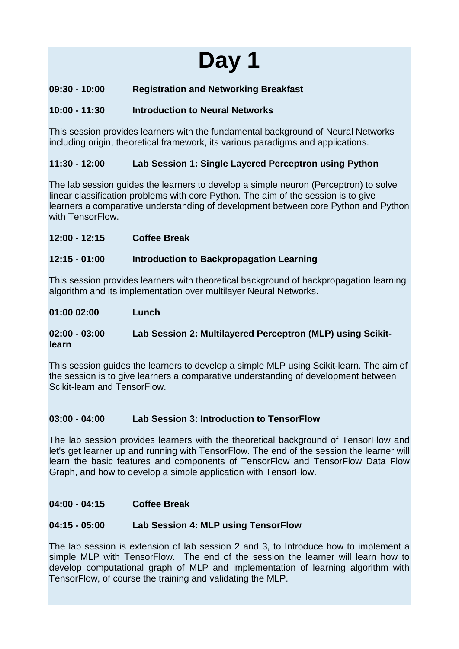# **09:30 - 10:00 Registration and Networking Breakfast**

## **10:00 - 11:30 Introduction to Neural Networks**

This session provides learners with the fundamental background of Neural Networks including origin, theoretical framework, its various paradigms and applications.

### **11:30 - 12:00 Lab Session 1: Single Layered Perceptron using Python**

The lab session guides the learners to develop a simple neuron (Perceptron) to solve linear classification problems with core Python. The aim of the session is to give learners a comparative understanding of development between core Python and Python with TensorFlow.

**12:00 - 12:15 Coffee Break**

### **12:15 - 01:00 Introduction to Backpropagation Learning**

This session provides learners with theoretical background of backpropagation learning algorithm and its implementation over multilayer Neural Networks.

#### **01:00 02:00 Lunch**

### **02:00 - 03:00 Lab Session 2: Multilayered Perceptron (MLP) using Scikitlearn**

This session guides the learners to develop a simple MLP using Scikit-learn. The aim of the session is to give learners a comparative understanding of development between Scikit-learn and TensorFlow.

### **03:00 - 04:00 Lab Session 3: Introduction to TensorFlow**

The lab session provides learners with the theoretical background of TensorFlow and let's get learner up and running with TensorFlow. The end of the session the learner will learn the basic features and components of TensorFlow and TensorFlow Data Flow Graph, and how to develop a simple application with TensorFlow.

### **04:00 - 04:15 Coffee Break**

### **04:15 - 05:00 Lab Session 4: MLP using TensorFlow**

The lab session is extension of lab session 2 and 3, to Introduce how to implement a simple MLP with TensorFlow. The end of the session the learner will learn how to develop computational graph of MLP and implementation of learning algorithm with TensorFlow, of course the training and validating the MLP.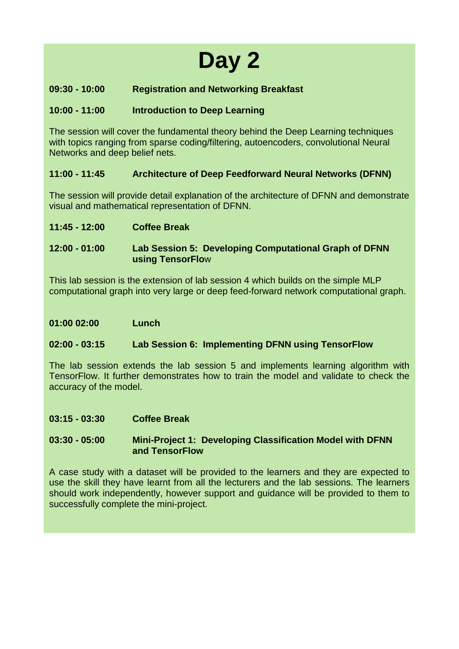# **09:30 - 10:00 Registration and Networking Breakfast**

### **10:00 - 11:00 Introduction to Deep Learning**

The session will cover the fundamental theory behind the Deep Learning techniques with topics ranging from sparse coding/filtering, autoencoders, convolutional Neural Networks and deep belief nets.

### **11:00 - 11:45 Architecture of Deep Feedforward Neural Networks (DFNN)**

The session will provide detail explanation of the architecture of DFNN and demonstrate visual and mathematical representation of DFNN.

**11:45 - 12:00 Coffee Break**

**12:00 - 01:00 Lab Session 5: Developing Computational Graph of DFNN using TensorFlo**w

This lab session is the extension of lab session 4 which builds on the simple MLP computational graph into very large or deep feed-forward network computational graph.

**01:00 02:00 Lunch**

### **02:00 - 03:15 Lab Session 6: Implementing DFNN using TensorFlow**

The lab session extends the lab session 5 and implements learning algorithm with TensorFlow. It further demonstrates how to train the model and validate to check the accuracy of the model.

**03:15 - 03:30 Coffee Break**

**03:30 - 05:00 Mini-Project 1: Developing Classification Model with DFNN and TensorFlow**

A case study with a dataset will be provided to the learners and they are expected to use the skill they have learnt from all the lecturers and the lab sessions. The learners should work independently, however support and guidance will be provided to them to successfully complete the mini-project.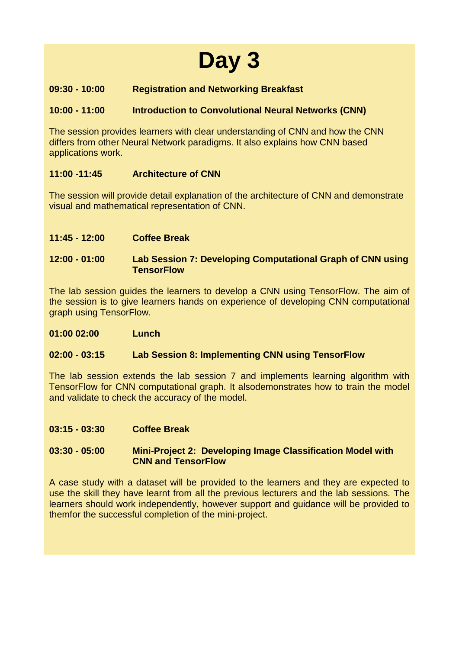# **09:30 - 10:00 Registration and Networking Breakfast**

### **10:00 - 11:00 Introduction to Convolutional Neural Networks (CNN)**

The session provides learners with clear understanding of CNN and how the CNN differs from other Neural Network paradigms. It also explains how CNN based applications work.

# **11:00 -11:45 Architecture of CNN**

The session will provide detail explanation of the architecture of CNN and demonstrate visual and mathematical representation of CNN.

**11:45 - 12:00 Coffee Break**

## **12:00 - 01:00 Lab Session 7: Developing Computational Graph of CNN using TensorFlow**

The lab session guides the learners to develop a CNN using TensorFlow. The aim of the session is to give learners hands on experience of developing CNN computational graph using TensorFlow.

**01:00 02:00 Lunch**

### **02:00 - 03:15 Lab Session 8: Implementing CNN using TensorFlow**

The lab session extends the lab session 7 and implements learning algorithm with TensorFlow for CNN computational graph. It alsodemonstrates how to train the model and validate to check the accuracy of the model.

**03:15 - 03:30 Coffee Break**

### **03:30 - 05:00 Mini-Project 2: Developing Image Classification Model with CNN and TensorFlow**

A case study with a dataset will be provided to the learners and they are expected to use the skill they have learnt from all the previous lecturers and the lab sessions. The learners should work independently, however support and guidance will be provided to themfor the successful completion of the mini-project.